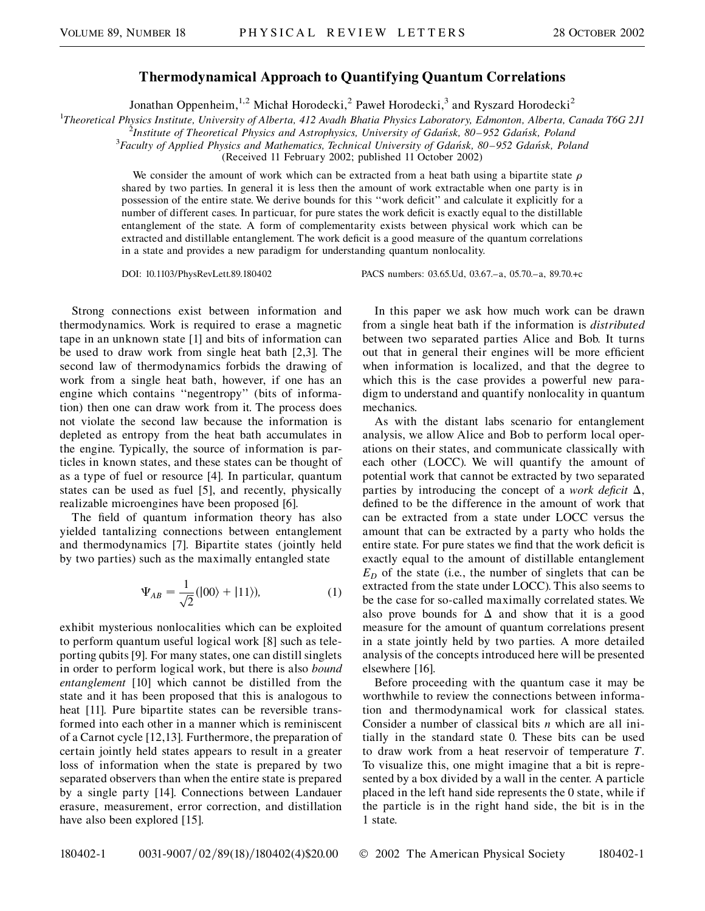## **Thermodynamical Approach to Quantifying Quantum Correlations**

Jonathan Oppenheim,<sup>1,2</sup> Michał Horodecki,<sup>2</sup> Paweł Horodecki,<sup>3</sup> and Ryszard Horodecki<sup>2</sup>

<sup>1</sup>Theoretical Physics Institute, University of Alberta, 412 Avadh Bhatia Physics Laboratory, Edmonton, Alberta, Canada T6G 2J1<sup>2</sup><br><sup>2</sup>Institute of Theoretical Physics and Astrophysics, University of Gdańsk, 80, 952 Gdańsk,

<sup>2</sup>Institute of Theoretical Physics and Astrophysics, University of Gdańsk, 80–952 Gdańsk, Poland

*Faculty of Applied Physics and Mathematics, Technical University of Gdan´sk, 80–952 Gdan´sk, Poland*

(Received 11 February 2002; published 11 October 2002)

We consider the amount of work which can be extracted from a heat bath using a bipartite state  $\rho$ shared by two parties. In general it is less then the amount of work extractable when one party is in possession of the entire state. We derive bounds for this ''work deficit'' and calculate it explicitly for a number of different cases. In particuar, for pure states the work deficit is exactly equal to the distillable entanglement of the state. A form of complementarity exists between physical work which can be extracted and distillable entanglement. The work deficit is a good measure of the quantum correlations in a state and provides a new paradigm for understanding quantum nonlocality.

DOI: 10.1103/PhysRevLett.89.180402 PACS numbers: 03.65.Ud, 03.67.–a, 05.70.–a, 89.70.+c

Strong connections exist between information and thermodynamics. Work is required to erase a magnetic tape in an unknown state [1] and bits of information can be used to draw work from single heat bath [2,3]. The second law of thermodynamics forbids the drawing of work from a single heat bath, however, if one has an engine which contains ''negentropy'' (bits of information) then one can draw work from it. The process does not violate the second law because the information is depleted as entropy from the heat bath accumulates in the engine. Typically, the source of information is particles in known states, and these states can be thought of as a type of fuel or resource [4]. In particular, quantum states can be used as fuel [5], and recently, physically realizable microengines have been proposed [6].

The field of quantum information theory has also yielded tantalizing connections between entanglement and thermodynamics [7]. Bipartite states (jointly held by two parties) such as the maximally entangled state

$$
\Psi_{AB} = \frac{1}{\sqrt{2}} (|00\rangle + |11\rangle), \tag{1}
$$

exhibit mysterious nonlocalities which can be exploited to perform quantum useful logical work [8] such as teleporting qubits [9]. For many states, one can distill singlets in order to perform logical work, but there is also *bound entanglement* [10] which cannot be distilled from the state and it has been proposed that this is analogous to heat [11]. Pure bipartite states can be reversible transformed into each other in a manner which is reminiscent of a Carnot cycle [12,13]. Furthermore, the preparation of certain jointly held states appears to result in a greater loss of information when the state is prepared by two separated observers than when the entire state is prepared by a single party [14]. Connections between Landauer erasure, measurement, error correction, and distillation have also been explored [15].

In this paper we ask how much work can be drawn from a single heat bath if the information is *distributed* between two separated parties Alice and Bob. It turns out that in general their engines will be more efficient when information is localized, and that the degree to which this is the case provides a powerful new paradigm to understand and quantify nonlocality in quantum mechanics.

As with the distant labs scenario for entanglement analysis, we allow Alice and Bob to perform local operations on their states, and communicate classically with each other (LOCC). We will quantify the amount of potential work that cannot be extracted by two separated parties by introducing the concept of a *work deficit*  $\Delta$ , defined to be the difference in the amount of work that can be extracted from a state under LOCC versus the amount that can be extracted by a party who holds the entire state. For pure states we find that the work deficit is exactly equal to the amount of distillable entanglement  $E_D$  of the state (i.e., the number of singlets that can be extracted from the state under LOCC). This also seems to be the case for so-called maximally correlated states. We also prove bounds for  $\Delta$  and show that it is a good measure for the amount of quantum correlations present in a state jointly held by two parties. A more detailed analysis of the concepts introduced here will be presented elsewhere [16].

Before proceeding with the quantum case it may be worthwhile to review the connections between information and thermodynamical work for classical states. Consider a number of classical bits *n* which are all initially in the standard state 0. These bits can be used to draw work from a heat reservoir of temperature *T*. To visualize this, one might imagine that a bit is represented by a box divided by a wall in the center. A particle placed in the left hand side represents the 0 state, while if the particle is in the right hand side, the bit is in the 1 state.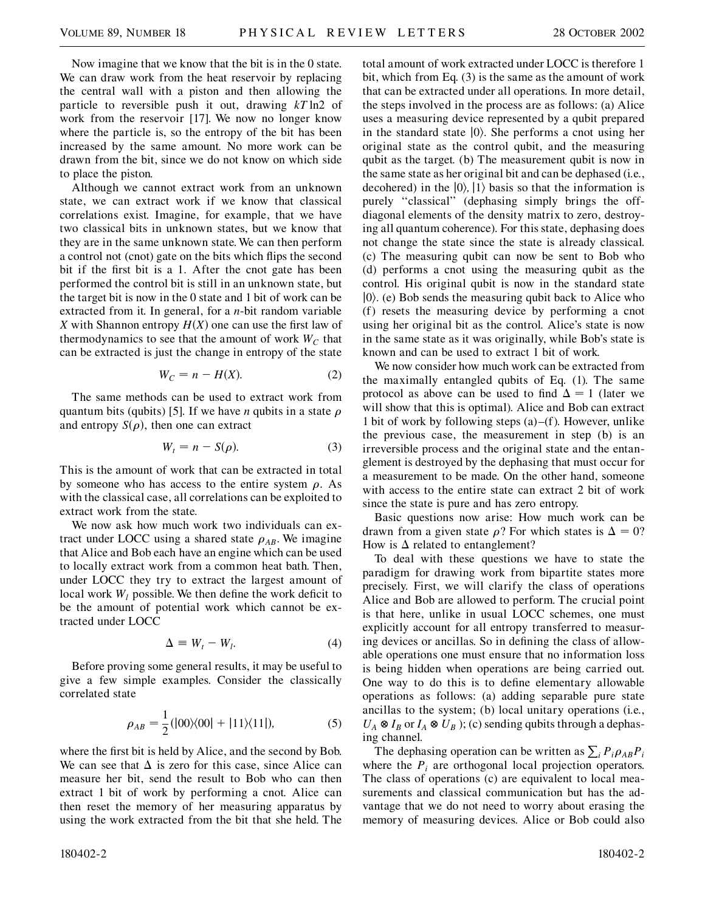Now imagine that we know that the bit is in the 0 state. We can draw work from the heat reservoir by replacing the central wall with a piston and then allowing the particle to reversible push it out, drawing *kT* ln2 of work from the reservoir [17]. We now no longer know where the particle is, so the entropy of the bit has been increased by the same amount. No more work can be drawn from the bit, since we do not know on which side to place the piston.

Although we cannot extract work from an unknown state, we can extract work if we know that classical correlations exist. Imagine, for example, that we have two classical bits in unknown states, but we know that they are in the same unknown state. We can then perform a control not (cnot) gate on the bits which flips the second bit if the first bit is a 1. After the cnot gate has been performed the control bit is still in an unknown state, but the target bit is now in the 0 state and 1 bit of work can be extracted from it. In general, for a *n*-bit random variable *X* with Shannon entropy  $H(X)$  one can use the first law of thermodynamics to see that the amount of work  $W_C$  that can be extracted is just the change in entropy of the state

$$
W_C = n - H(X). \tag{2}
$$

The same methods can be used to extract work from quantum bits (qubits) [5]. If we have *n* qubits in a state  $\rho$ and entropy  $S(\rho)$ , then one can extract

$$
W_t = n - S(\rho). \tag{3}
$$

This is the amount of work that can be extracted in total by someone who has access to the entire system  $\rho$ . As with the classical case, all correlations can be exploited to extract work from the state.

We now ask how much work two individuals can extract under LOCC using a shared state  $\rho_{AB}$ . We imagine that Alice and Bob each have an engine which can be used to locally extract work from a common heat bath. Then, under LOCC they try to extract the largest amount of local work  $W_l$  possible. We then define the work deficit to be the amount of potential work which cannot be extracted under LOCC

$$
\Delta \equiv W_t - W_l. \tag{4}
$$

Before proving some general results, it may be useful to give a few simple examples. Consider the classically correlated state

$$
\rho_{AB} = \frac{1}{2} (|00\rangle\langle00| + |11\rangle\langle11|), \tag{5}
$$

where the first bit is held by Alice, and the second by Bob. We can see that  $\Delta$  is zero for this case, since Alice can measure her bit, send the result to Bob who can then extract 1 bit of work by performing a cnot. Alice can then reset the memory of her measuring apparatus by using the work extracted from the bit that she held. The

total amount of work extracted under LOCC is therefore 1 bit, which from Eq. (3) is the same as the amount of work that can be extracted under all operations. In more detail, the steps involved in the process are as follows: (a) Alice uses a measuring device represented by a qubit prepared in the standard state  $|0\rangle$ . She performs a cnot using her original state as the control qubit, and the measuring qubit as the target. (b) The measurement qubit is now in the same state as her original bit and can be dephased (i.e., decohered) in the  $|0\rangle$ ,  $|1\rangle$  basis so that the information is purely "classical" (dephasing simply brings the offdiagonal elements of the density matrix to zero, destroying all quantum coherence). For this state, dephasing does not change the state since the state is already classical. (c) The measuring qubit can now be sent to Bob who (d) performs a cnot using the measuring qubit as the control. His original qubit is now in the standard state  $|0\rangle$ . (e) Bob sends the measuring qubit back to Alice who (f) resets the measuring device by performing a cnot using her original bit as the control. Alice's state is now in the same state as it was originally, while Bob's state is known and can be used to extract 1 bit of work.

We now consider how much work can be extracted from the maximally entangled qubits of Eq. (1). The same protocol as above can be used to find  $\Delta = 1$  (later we will show that this is optimal). Alice and Bob can extract 1 bit of work by following steps (a)–(f). However, unlike the previous case, the measurement in step (b) is an irreversible process and the original state and the entanglement is destroyed by the dephasing that must occur for a measurement to be made. On the other hand, someone with access to the entire state can extract 2 bit of work since the state is pure and has zero entropy.

Basic questions now arise: How much work can be drawn from a given state  $\rho$ ? For which states is  $\Delta = 0$ ? How is  $\Delta$  related to entanglement?

To deal with these questions we have to state the paradigm for drawing work from bipartite states more precisely. First, we will clarify the class of operations Alice and Bob are allowed to perform. The crucial point is that here, unlike in usual LOCC schemes, one must explicitly account for all entropy transferred to measuring devices or ancillas. So in defining the class of allowable operations one must ensure that no information loss is being hidden when operations are being carried out. One way to do this is to define elementary allowable operations as follows: (a) adding separable pure state ancillas to the system; (b) local unitary operations (i.e.,  $U_A \otimes I_B$  or  $I_A \otimes U_B$  ); (c) sending qubits through a dephasing channel.

The dephasing operation can be written as  $\sum_i P_i \rho_{AB} P_i$ where the  $P_i$  are orthogonal local projection operators. The class of operations (c) are equivalent to local measurements and classical communication but has the advantage that we do not need to worry about erasing the memory of measuring devices. Alice or Bob could also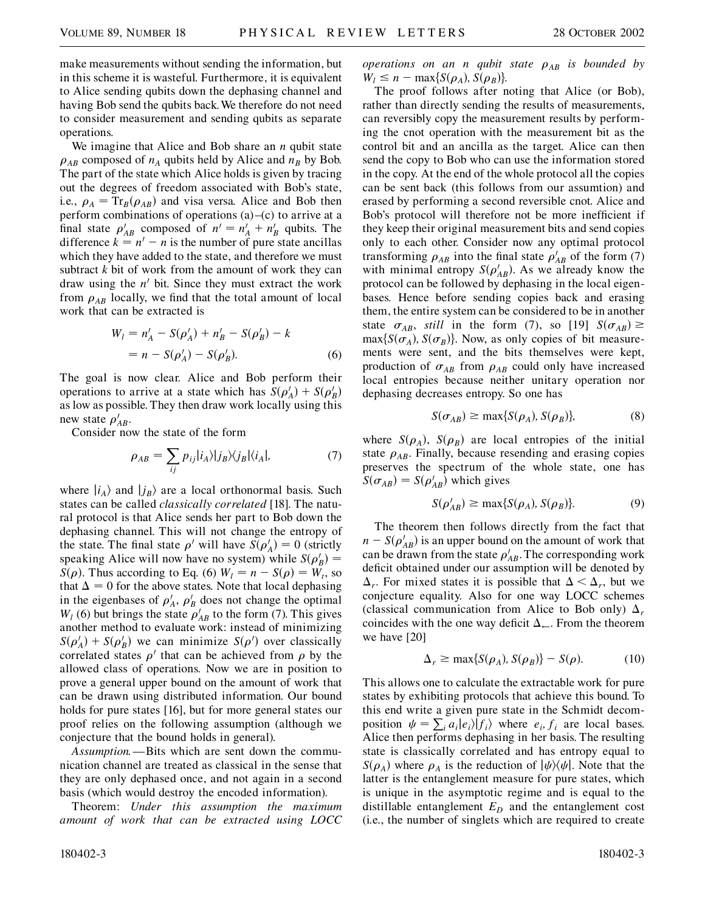make measurements without sending the information, but in this scheme it is wasteful. Furthermore, it is equivalent to Alice sending qubits down the dephasing channel and having Bob send the qubits back.We therefore do not need to consider measurement and sending qubits as separate operations.

We imagine that Alice and Bob share an *n* qubit state  $\rho_{AB}$  composed of  $n_A$  qubits held by Alice and  $n_B$  by Bob. The part of the state which Alice holds is given by tracing out the degrees of freedom associated with Bob's state, i.e.,  $\rho_A = Tr_B(\rho_{AB})$  and visa versa. Alice and Bob then perform combinations of operations (a)–(c) to arrive at a final state  $\rho'_{AB}$  composed of  $n' = n'_A + n'_B$  qubits. The difference  $k = n^{0} - n$  is the number of pure state ancillas which they have added to the state, and therefore we must subtract *k* bit of work from the amount of work they can draw using the  $n'$  bit. Since they must extract the work from  $\rho_{AB}$  locally, we find that the total amount of local work that can be extracted is

$$
W_l = n'_A - S(\rho'_A) + n'_B - S(\rho'_B) - k
$$
  
=  $n - S(\rho'_A) - S(\rho'_B)$ . (6)

The goal is now clear. Alice and Bob perform their operations to arrive at a state which has  $S(\rho_A') + S(\rho_B')$ as low as possible. They then draw work locally using this new state  $\rho'_{AB}$ .

Consider now the state of the form

$$
\rho_{AB} = \sum_{ij} p_{ij} |i_A\rangle |j_B\rangle\langle j_B| \langle i_A|, \tag{7}
$$

where  $|i_A\rangle$  and  $|j_B\rangle$  are a local orthonormal basis. Such states can be called *classically correlated* [18]. The natural protocol is that Alice sends her part to Bob down the dephasing channel. This will not change the entropy of the state. The final state  $\rho'$  will have  $S(\rho'_A) = 0$  (strictly speaking Alice will now have no system) while  $S(\rho_B') =$ *S*( $\rho$ ). Thus according to Eq. (6)  $W_l = n - S(\rho) = W_l$ , so that  $\Delta = 0$  for the above states. Note that local dephasing in the eigenbases of  $\rho'_{A}$ ,  $\rho'_{B}$  does not change the optimal  $W_l$  (6) but brings the state  $\rho'_{AB}$  to the form (7). This gives another method to evaluate work: instead of minimizing  $S(\rho'_A) + S(\rho'_B)$  we can minimize  $S(\rho')$  over classically correlated states  $\rho'$  that can be achieved from  $\rho$  by the allowed class of operations. Now we are in position to prove a general upper bound on the amount of work that can be drawn using distributed information. Our bound holds for pure states [16], but for more general states our proof relies on the following assumption (although we conjecture that the bound holds in general).

*Assumption.*—Bits which are sent down the communication channel are treated as classical in the sense that they are only dephased once, and not again in a second basis (which would destroy the encoded information).

Theorem: *Under this assumption the maximum amount of work that can be extracted using LOCC* *operations on an n qubit state*  $\rho_{AB}$  *is bounded by*  $W_l \leq n - \max\{S(\rho_A), S(\rho_B)\}.$ 

The proof follows after noting that Alice (or Bob), rather than directly sending the results of measurements, can reversibly copy the measurement results by performing the cnot operation with the measurement bit as the control bit and an ancilla as the target. Alice can then send the copy to Bob who can use the information stored in the copy. At the end of the whole protocol all the copies can be sent back (this follows from our assumtion) and erased by performing a second reversible cnot. Alice and Bob's protocol will therefore not be more inefficient if they keep their original measurement bits and send copies only to each other. Consider now any optimal protocol transforming  $\rho_{AB}$  into the final state  $\rho'_{AB}$  of the form (7) with minimal entropy  $S(\rho'_{AB})$ . As we already know the protocol can be followed by dephasing in the local eigenbases. Hence before sending copies back and erasing them, the entire system can be considered to be in another state  $\sigma_{AB}$ , *still* in the form (7), so [19]  $S(\sigma_{AB}) \ge$  $\max\{S(\sigma_A), S(\sigma_B)\}\$ . Now, as only copies of bit measurements were sent, and the bits themselves were kept, production of  $\sigma_{AB}$  from  $\rho_{AB}$  could only have increased local entropies because neither unitary operation nor dephasing decreases entropy. So one has

$$
S(\sigma_{AB}) \ge \max\{S(\rho_A), S(\rho_B)\},\tag{8}
$$

where  $S(\rho_A)$ ,  $S(\rho_B)$  are local entropies of the initial state  $\rho_{AB}$ . Finally, because resending and erasing copies preserves the spectrum of the whole state, one has  $S(\sigma_{AB}) = S(\rho'_{AB})$  which gives

$$
S(\rho'_{AB}) \ge \max\{S(\rho_A), S(\rho_B)\}.
$$
 (9)

The theorem then follows directly from the fact that  $n - S(\rho'_{AB})$  is an upper bound on the amount of work that can be drawn from the state  $\rho'_{AB}$ . The corresponding work deficit obtained under our assumption will be denoted by  $\Delta_r$ . For mixed states it is possible that  $\Delta < \Delta_r$ , but we conjecture equality. Also for one way LOCC schemes (classical communication from Alice to Bob only)  $\Delta_r$ coincides with the one way deficit  $\Delta_{\leftarrow}$ . From the theorem we have [20]

$$
\Delta_r \ge \max\{S(\rho_A), S(\rho_B)\} - S(\rho). \tag{10}
$$

This allows one to calculate the extractable work for pure states by exhibiting protocols that achieve this bound. To this end write a given pure state in the Schmidt decomposition  $\psi = \sum_i a_i |e_i\rangle |f_i\rangle$  where  $e_i, f_i$  are local bases. Alice then performs dephasing in her basis. The resulting state is classically correlated and has entropy equal to  $S(\rho_A)$  where  $\rho_A$  is the reduction of  $|\psi\rangle\langle\psi|$ . Note that the latter is the entanglement measure for pure states, which is unique in the asymptotic regime and is equal to the distillable entanglement  $E_D$  and the entanglement cost (i.e., the number of singlets which are required to create